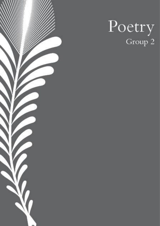

# Poetry Group 2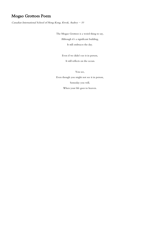# Mogao Grottoes Poem

Canadian International School of Hong Kong, Kwok, Audrey  $-10$ 

The Mogao Grottoes is a weird thing to say, Although it's a significant building, It still embraces the day.

Even if we didn't see it in person,

It still reflects on the ocean.

You see,

Even though you might not see it in person,

Someday you will,

When your life goes to heaven.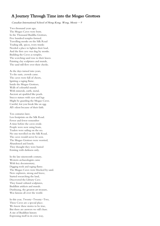#### A Journey Through Time into the Mogao Grottoes

Canadian International School of Hong Kong, Wong, Moniz  $-9$ 

Two thousand years ago, The Mogao Caves were born. In the Thousand Buddha Grottoes, Five hundred temples formed. Travelling monks on the Silk Road Trading silk, spices, ivory trunks Needed a place to lighten their load, And the first cave was dug by monks. Building the Caves as temples, The scorching sand rose to their knees. Painting clay sculptures and murals, The sand still flew over their cheeks.

As the days turned into years, To the oasis, crowds came. The caves were full of cheers, Igniting a raging flame. Inside the Mogao Grottoes, Walls of colourful murals With minerals, earth, metal, Ancient art sparkled like pearls. Stucco statues with eyes and legs Might be guarding the Mogao Caves. Careful, lest you break like an egg. All's silent because of their faith.

Ten centuries later, Less footprints on the Silk Road. Fewer and fewer remember A time before the caves erode. People were now using boats, Traders were sailing on the sea. No one travelled on the Silk Road, The caves would never be seen. The Mogao Grottoes were worried, Abandoned and lonely. They thought they were buried Existing with darkness only.

In the late nineteenth century, Western archaeologists came With key documentary, Digging tools and raging flame. The Mogao Caves were blocked by sand. New explorers, strong and brave, Started researching the land, Discovered the Library Cave. They found cultural sculptures, Buddhist artifacts and murals. Dunhuang, the greatest art treasure, Was famous all over the world.

In this year, Twenty-Twenty-Two, These Caves are a special place. We know these stories to be true, But there are answers we still chase. A site of Buddhist history Expressing itself in its own way,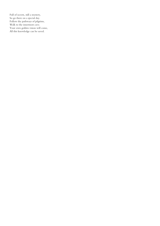Full of secrets, still a mystery, So go there on a special day. Follow the pathways of pilgrims, Walk to the innermost cave. Your own golden vision will come, All this knowledge can be saved.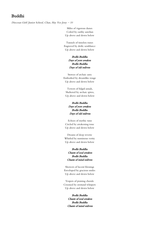#### Buddhi

Diocesan Girls' Junior School, Chan, Hay Yee Jessy - 10

Miles of vigorous dunes Ceiled by earthy aurelian Up above and down below

Tunnels of timeless runes Engraved by deific semblance Up above and down below

#### Bodhi Buddha Days of yore awaken Bodhi Buddha Days of old enliven

Storeys of archaic aura Embodied by dreamlike rouge Up above and down below

Towers of fulgid annals, Sheltered by archaic spires, Up above and down below

#### Bodhi Buddha Days of yore awaken Bodhi Buddha Days of old enliven

Echoes of mythic tune Circled by awakening tone Up above and down below

Dreams of deep reverie Whirled by numinous verity Up above and down below

#### Bodhi Buddha Chants of soul awaken Bodhi Buddha Chants of mind enliven

Showers of lucent blessings Enveloped by gracious smiles Up above and down below

Vespers of praising chorale Crooned by orotund whispers Up above and down below

#### Bodhi Buddha

Chants of soul awaken Bodhi Buddha Chants of mind enliven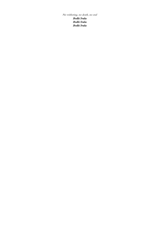No withering, no death, no end

Bodhi Svaha Bodhi Svaha Bodhi Svaha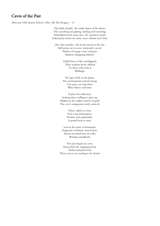## Caves of the Past

Diocesan Girls' Junior School, Choi, Shi Yin Reagan - 11

The folds of gold, the sandy dunes of the desert. The scorching sun glaring, sizzling and scorching. Embedded in the stony face, the entrances stand. Faded paint etches on stone, once vibrant now faint.

One after another, the levels stretch to the sky. Still statues sit in caves, intricately carved. Flushes of orange come and pass, Shadows dropping listlessly.

> Gilded faces of the worshipped, Their wisdom freely offered To those who seek it Willingly.

No sign of life in the plains, The environment unwelcoming. Yet none can stop those Who believe and trust.

A place for reflection, Seeking those willing to open up. Hidden in the endless stretch of gold, The cave's uniqueness rarely noticed.

> Those called to come, Feel a tug and purpose. Peerless and undeniable, A portal back in time.

Lost in the maze of thousands, Fragments of history stored there. Stories inscribed into its walls, Waiting soundlessly.

The past lingers in caves, Away from the surging present. Sealed and protected, These secrets are waiting to be found.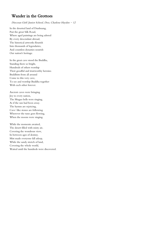## Wander in the Grottoes

Diocesan Girls' Junior School, Doo, Charlene Hayden - 12

In the deserted land of Dunhuang, Past the great Silk Road, Where aged paintings are being adored By every descendant abroad, The historical artworks flourish Into thousands of legendaries, And countless dynasties nourish Our nation's heritage.

In the great cave stood the Buddha, Standing there so bright, Hundreds of others worship Their goodful and trustworthy heroine. Buddhists from all around Come to this very cave, To see and worship Buddha together With each other forever.

Ancient caves were bringing Joy to every nation, The Mogao bells were ringing, As if the sun had been away. The hymns are rejoicing, Cave-like stones are following Wherever the tune goes flowing, When the moons were singing.

While the moments awaited, The desert filled with misty air, Covering the wondrous view, In between ages of destiny. Mist made everyone fall asleep, While the sandy stretch of land, Covering the whole world, Waited until the hundreds were discovered.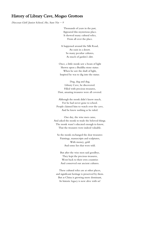#### History of Library Cave, Mogao Grottoes

Diocesan Girls' Junior School, Ho, Sum Yin - 9

Thousands of years in the past, Appeared this mysterious place. It showed many cultural relics, From all over the place.

It happened around the Silk Road, An oasis in a desert. So many peculiar cultures, As much of garden's dirt.

Once, a little monk saw a beam of light Shown upon a Buddha stone statue. When he saw the shaft of light, Inspired he was to dig into the statue.

Dug, dug and dug, Library Cave, he discovered. Filled with precious treasures, Dust, amazing treasures were all covered.

Although the monk didn't know much, For he had never gone to school. People claimed him to watch over the cave, And he knew nothing as he ruled.

One day, the wise men came, And asked the monk to trade the beloved things. The monk wasn't educated enough to know, That the treasures were indeed valuable.

So the monk exchanged the dear treasures: Paintings, manuscripts and sculptures, With money, gold And some lies that were told.

But after the wise men said goodbye, They kept the precious treasures, Went back to their own countries And conserved our ancient cultures.

These cultural relics are at other places, and significant heritage is preserved by them. But as China is growing more dominant, Its historic legacy is now alive with us!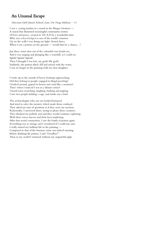#### An Unusual Escape

Diocesan Girls' Junior School, Lam, On Tung Adelynn - 11

I was a young maiden in a mural in the Mogao Grottoes — A mural that illustrated meaningful community mottos Of love and peace, created in 336 A.D by a wonderful artist Who was acknowledged as one of the world's smartest. Up on the walls I was doing my light-footed dance When I saw a potion on the ground — would that be a chance...?

Just then, water shot out of the colourful vase beside me, And it was surging and plunging like a waterfall, as I could see. Splish! Splash! Splosh! Then I thought I was lost, my gosh! My gosh! Suddenly, the potion tilted, fell and mixed with the water, I was no longer in the painting with my dear daughter.

I woke up to the sounds of heavy footsteps approaching, Did they belong to people engaged in illegal poaching? I looked around, gasped in horror and cried like a mourner! That's when I noticed I was in a distant corner! I heard some scratching, laughing, barking and tapping. I saw two people holding a cage, and inside was a bird.

The archaeologists who saw me looked bemused And tried to solve the mystery which made them confused. They asked me tons of questions as if they were my teachers. Reluctantly, I answered them, trying to please these creatures. They thanked me politely and said they would continue exploring. With their voices sincere and their faces imploring. After that weird commotion, I saw the bottle of potion again. Everything was so strange and I wondered if I could stay sane. I really missed my brilliant life in the painting –– Compared to that of the humans, mine was indeed amazing. Before drinking the potion, I said "Goodbye!" Then to my world I returned without any ungrateful sighs.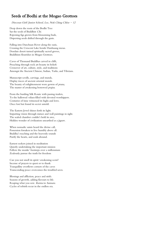#### Seeds of Bodhi at the Mogao Grottoes

Diocesan Girls' Junior School, Lee, Nok Ching Chloe  $-12$ 

Deep down the roots of the Bodhi Tree Sat the seeds of Buddhist Chi. Ripening figs grown from blossoming buds, Dispersing seeds drifted through the gusts.

Falling into Danchuan River along the oasis, Crossing the Crescent Lake beside Dunhuang mesas. Desolate desert turned spiritually sacred groves, Buddhism flourishes in Mogao Grottoes.

Caves of Thousand Buddhas carved in cliffs, Preaching through rock art beauty its beliefs Crossover of art, culture, style, and traditions Amongst the Ancient Chinese, Indian, Turks, and Tibetans.

Manuscript scrolls, carvings, and murals, Display traces of ancient oriental morals. The beauty of enlightenment wore gowns of *prana*, The master of awakening bestowed prajna.

From the bustling Silk Route with passing traders, To the hallowed vihara filled with devoted worshippers. Centuries of time witnessed its highs and lows. Once lost but found its secret untold.

The Eastern Jewel shines forth its light. Imparting vision through statues and wall paintings in sight. The sealed chamber couldn't hold its awe, Hidden wonder of civilization unearthed as a jigsaw.

When nomadic saints heard the divine call, Possession forsaken to live humbly above all. Buddha's teaching and the heavenly sounds Purify the hearts, and souls abound.

Earnest seekers joined in meditation Quietly undertaking the important mission Follow the monks' footsteps over a millennium Zealously pursue the truth for freedom

Can you not smell its spirit-awakening scent? Incense of prayers to quest or to thank Tranquillity overflows corners of the caves Transcending peace overcomes the troubled saves.

Blessings and affliction, peace and strife. Seasons of growth, adding flavours to life. Reaping what you sow. Karma to Samsara. Cycles of rebirth recur in the endless era.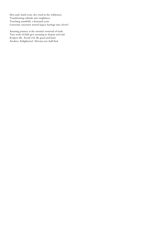Hot sand, harsh rock, dry wind in the wilderness Transforming solitude into mightiness Touching manifold, a thousand years Lonesome sanctuary turned legacy heritage into cheers!

Amazing journey at the oriental crossroad of trade. Tiny seeds of faith give meaning to despair and raid. Respect life. Avoid evil. Be good and kind. Awaken. Enlightened. Nirvana you shall find.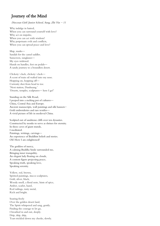## Journey of the Mind

#### Diocesan Girls' Junior School, Sung, Zhi Yin - 11

Why indulge in hatred, When you can surround yourself with love? Why act on impulse, When you can act with wisdom? Why perpetuate evils and conflicts, When you can spread peace and love?

Map, masks— Sandals for the camel saddles. Sunscreen, sunglasses— My eyes widened. Hands on handles, feet on pedals— A sandy journey to a boundless desert.

Clickety-clack, clickety-clack— A scent of train oil wafted into my nose. Hopping on, hopping off— Curiosity shot from head to toe. 'Next station, Dunhuang.' 'Deserts, temples, sculptures— here I go!'

Standing on the Silk Road, I peeped into a melting pot of cultures— China, Central Asia and Europe. Ancient manuscripts, wall paintings and silk banners-Gold embroideries and rare textiles— A vivid picture of life in medieval China.

Sculpted out of sandstone cliffs over ten dynasties. Constructed by monks to serve as shrines for eternity. In these caves of giant murals, I meditated. Paintings, writings, carvings— An experience of Buddhist beliefs and stories. Oh! How I am enlightened!

The goddess of mercy, A calming Buddha Smile surrounded me, Bringing inner tranquility. An elegant lady floating on clouds, A content figure projecting peace, Speaking truth, speaking love, Speaking serenity.

Yellow, red, brown, Spirited paintings, stucco sculptures, Gold, silver, black, Woody smell, a floral note, hints of spice, Amber, scarlet, hazel, Red railings, rusty metal, Rich and bright.

Soaring freely Over the golden desert land, The Spirit whispered and sang, gently. Finding the courage to let go, I breathed in and out, deeply. Drip, drip, drip, Tears trickled down my cheeks, slowly.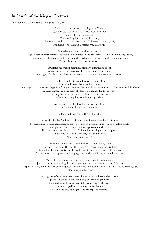#### In Search of the Mogao Grottoes

Diocesan Girls' Junior School, Tong, Sui Ting - 11

Flying coach on a stormy evening from Venice, 6,604 miles, 10.4 hours and 42,000 feet in altitude. Silently I sat in excitement. Embraced by loneliness and curiosity Prepared to embark on a journey that will forever change my life, Dunhuang - the Mogao Grottoes, you call for me.

Overwhelmed by exhaustion and hunger, A good half an hour of ferocious bus ride till I reached the renowned Silk Road Dunhuang Hotel, Rain shower, gloominess, and cruel humidity welcomed my arrival to this enigmatic land, Yet, my heart was filled with eagerness.

Awaiting me was an upsetting, ordinary, unflattering room, Dust and dirt gracefully covered the surface of every seen object, Luggage unloaded, I explored diverse options to combat my extreme starvation.

Loaded myself with countless tourist pamphlets, Scrutinized alternative travelling routes, Submerged into the curious legends of the great Mogao Grottoes, better known as the Thousand Buddha Caves Le Zun, blessed with the view of Maitreya Buddha, dug the first cave, Fa Liang, with an equal vision, claimed the second one, Where shall my pilgrimage begin? I pondered

> Arrived at ten with a bus, blessed with sunshine. All alone so lonely and lonesome.

Suddenly astonished, startled and touched

Marvelled by the five levels built in various dynasties totalling 735 caves Stepping inside gazing admiringly at the seas of murals and sculptures created by gifted artists. Red, green, yellow, brown and orange coloured the caves There are some boards written in Chinese introducing the masterpieces. Each one with its uniqueness, style and history 'How gorgeous this is !'

I exclaimed. A must-visit is the eye-catching Library Cave, A memorial cave for the wealthy Hongbian monk following his death Loaded with manuscripts, scrolls, books, short texts and figurines of Buddhas Sacred sanctuary for poetry, philosophy, law, music, medicine, economics and art.

Moved by the endless, magnificent and invaluable Buddhist arts, I just couldn't stop admiring the cleverness, ingenuity and inventiveness of the past. The splendid Mogoa Grottoes - once forgotten, now revived and heavily protected as the World Heritage Site, History must not be buried

> A long visit of five hours, conquered by extreme tiredness and starvation I promised a tour to the Dunhuang Shazhou Night Market Hundreds of well-organized stalls promoting local cuisine I awarded myself with the most delectable meal Needless to say, it ought to be the trip of a lifetime.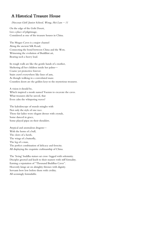## A Historical Treasure House

Diocesan Girls' Junior School, Wong, Hei Lam - 11

On the edge of the Gobi Desert, Lies a place of pilgrimage, Considered as one of the treasure houses in China.

The Mogao Caves is a major channel Along the ancient Silk Road, Connecting the bond between China and the West, Witnessing the evolution of Buddhist art, Bearing such a heavy load.

Its rough walls are like the gentle hands of a mother, Sheltering all her children inside her palms— Coarse yet protective forever. Stairs crawl everywhere like lines of ants, As though walking in a convoluted maze. Countless doors are the golden keys to the mysterious treasures.

A vision it should be, Which inspired a monk named Yuezun to excavate the caves. What treasures did he unveil, that Even calm the whispering waves?

The kaleidoscope of murals mingles with Not only the style of one race. Those fair ladies wore elegant dresses with crystals, Some danced in grace, Some played pipas on their shoulders.

Atypical and anomalous dragons— With the horns of a bull, The claws of a hawk, The wings of a butterfly, The leg of a man, The perfect combination of delicacy and ferocity. All displaying the exquisite craftmanship of China.

The 'living' buddha statues sat cross-legged with solemnity. Disciples greeted and knelt to their masters with stiff formality. Earning a reputation of "Thousand Buddhas Caves". Heavenly kings sat on almighty thrones with dignity. Servants bow low before them with civility. All seemingly formidable.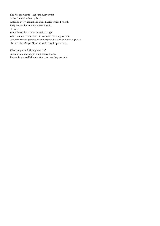The Mogao Grottoes capture every event In the Buddhism history book. Suffering every natural and man disaster which I resent, They remain intact everywhere I look. However, Many threats have been brought to light, When unlimited tourists visit like water flowing forever. Under top-level protection and regarded as a World Heritage Site, I believe the Mogao Grottoes will be well-preserved.

What are you still sitting here for? Embark on a journey to the treasure house, To see for yourself the priceless treasures they contain!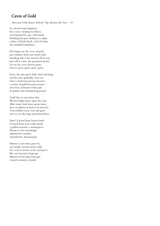## Caves of Gold

#### Diocesan Girls' Junior School, Yip, Kristen Ho Yan - 10

In a desert long forgotten, lies a cave, sleeping in silence, accompanied by age-old murals. Nothing but pure darkness in sight, a blaze of bleak black, void of white. An undefiled imbalance.

No longer are the caves of gold, just whispers from lost stories told. Standing still, it has strayed off its way. but will it come, the promised dawn? Or are the caves forever gone, forever gone, gone, gone, gone.

Soon, the days grew dark, hard and long, and the time gradually went on. Once a beloved and rare treasure, a crown of gold beyond measure now but a remnant of the past, its golden days having long passed.

Until that so marvelous day, Western light shone upon the way. After many hard times spent alone, how wondrous it feels to be known! Years hidden away, lost and gone now to see the long-promised dawn.

Arise! A jewel from barren lands. Created from such crafty hands. a golden treasure, a masterpiece. Beauty to last unendingly, admired for eternity, cherished by all humanity.

History is not times gone by, nor simply ancient stories told. It's a way to learn, to live and grow, like our ancestors long ago. Masters of art long, long ago, created centuries of gold.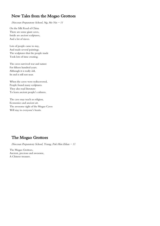## New Tales from the Mogao Grottoes

Diocesan Preparatory School, Ng, Ho Yin  $-11$ 

On the Silk Road of China There are some giant caves, Inside are ancient sculptures, And a lot of staves.

Lots of people came to stay, And made several paintings. The sculptures that the people made Took lots of time creating.

The caves survived war and nature For fifteen hundred years. Although it is really old, Its end is still not near.

When the caves were rediscovered, People found many sculptures. They also read literature To learn ancient people's cultures.

The cave may teach us religion, Economics and ancient art. The awesome sight of the Mogao Caves Will stay in everyone's hearts.

# The Mogao Grottoes

Diocesan Preparatory School, Yeung, Pok Him Ethan - 11

The Mogao Grottoes, Ancient, precious and awesome, A Chinese treasure.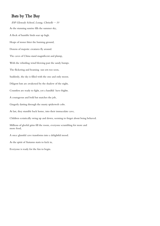## Bats by The Bay

ESF Glenealy School, Leung, Chriselle  $-10$ As the stunning sunrise fills the summer sky, A flock of humble birds soar up high. Heaps of stones litter the burning ground, Dozens of majestic creatures fly around. The caves of China stand magnificent and plump, With the whistling wind blowing past the sandy bumps. The flickering and beaming sun sets too soon, Suddenly, the sky is filled with the one and only moon. Diligent bats are awakened by the shadow of the night, Countless are ready to fight, yet a handful have frights. A courageous and bold bat snatches the job, Gingerly darting through the musty spiderweb cobs. At last, they stumble back home, into their immaculate cave, Children ecstatically swing up and down, seeming to forget about being behaved. Millions of gleeful grins fill the room, everyone scrambling for more and more food, A once glumful cave transforms into a delightful mood. As the spirit of Autumn starts to kick in, Everyone is ready for the fun to begin.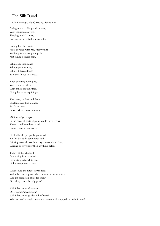## The Silk Road

#### ESF Kennedy School, Huang, Sylvia  $-9$

Facing more challenges than ever, With injuries so severe, Sleeping in dark caves, Leaving the secrets that now fades.

Feeling horribly faint, Faces covered with red, sticky paint, Walking feebly along the path, Not taking a single bath.

Selling silk that shines, Selling spices so fine, Selling different foods, So many things to choose.

Then shouting with glee, With the silver they see, With smiles on their face, Going home at a quick pace.

The caves, so dark and dense, Shielding rain,like a fence, As old as time, Before Mozart was even nine.

Millions of years ago, In the caves all sorts of plants could have grown. There could have been toads, But no cars and no roads.

Gradually, the people began to add, To this beautiful cave Earth had, Painting artwork worth ninety thousand and four, Writing poetry better than anything before.

Today, all has changed, Everything is rearranged! Fascinating artwork to see, Unknown poems to read.

What could the future caves hold? Will it become a place where ancient stories are told? Will it become an office for men? Or a shop that sells only pens?

Will it become a classroom? Or a women's bathroom? Will it become a garden full of roses? Who knows? It might become a museum of chopped-off robot noses!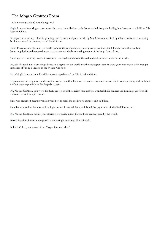# The Mogao Grottoes Poem

#### ESF Kennedy School, Lee, George  $-8$

Magical, mysterious Mogao caves were discovered at a fabulous oasis that stretched along the boiling hot dessert on the brilliant Silk Road in China.

Omnipotent literature, colourful paintings and fantastic sculptures made by Monks were unlocked by scholars who were searching for the secrets of the timeless, sacred Buddhist art.

Gansu Province soon became the hidden gem of the originally old, dusty place in west, central China because thousands of desperate pilgrims rediscovered more sandy caves and the breathtaking secrets of the long-lost culture.

Amazing, awe-inspiring, ancient caves were the loyal guardians of the oldest dated, printed books in the world.

Oh, old silk road, you were the pathway to a legendary lost world and the courageous camels were your messengers who brought thousands of strong believers to the Mogao Grottoes

Graceful, glorious and grand buddhas were storytellers of the Silk Road traditions.

Representing the religious wonders of the world, countless hand carved stories, decorated art on the towering ceilings and Buddhist artefacts were kept safely in the deep dark caves.

Oh, Mogao Grottoes, you were the dusty protector of the ancient manuscripts, wonderful silk banners and paintings, precious silk embroideries and unique textiles.

Time was preserved because you did your best to retell the prehistoric cultures and traditions.

Time became endless because archaeologists from all around the world found the key to unlock the Buddhist secret!

Oh, Mogao Grottoes, luckily your stories were buried under the sand and rediscovered by the world.

Eternal Buddhist beliefs were spread to every single continent like a fireball.

Sshhh, let's keep the secret of the Mogao Grottoes alive!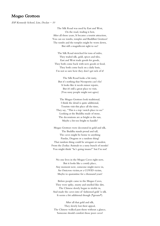#### Mogao Grottoes

ESF Kennedy School, Lim, Declan - 10

The Silk Road was used by East and West, On the road, trading is best, After all those years, It became a tourist attraction, You can see tombs, temples and Buddhist Grottoes! The tombs and the temples might be worn down, But still a magnificent sight to see!

The Silk Road stretched for tons of miles, They traded silk, gold, spices and tiles, East and West trade goods for goods, They both come back with new goods or food, They both come back on a daily basis, I'm not so sure how they don't get sick of it!

The Silk Road looks a bit rusty, But it's nothing that Neosporin can't fix! It looks like it needs minor repairs, But it's still a great place to visit, (You sussy people might not agree)

The Mogao Grottoes look traditional, I think the detail is quite additional, Tourists visit this place all the time, They say, "This is a top-notch place to see" Looking at the Buddha made of stone, The decorations are as bright as the sun, Maybe a bit too bright to handle!

Mogao Grottoes were decorated in gold and silk, The Buddha stands proud and tall, The caves might be home to anything Pandas, Dragons or a random thing! That random thing could be arrogant or modest, From the Zodiac Animals to a sussy bunch of monks! You might think "he's going insane!" but I'm not!

No one lives in the Mogao Caves right now, But it looks like a comfy place, Any moment now, someone might move in, An Omicron victim,or a COVID victim, Maybe to quarantine for a thousand years!

Before people came to the Mogao Caves, They were spiky, musty and smelled like dirt, The Chinese slowly began to trickle in, And made the caves into ol' fashioned gold 'n silk. It seems a bit additional though (\*groans\*).

After all that gold and silk, They slowly lost their appeal, The Chinese walked past them without a glance, Someone should comfort those poor caves!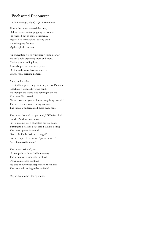#### Enchanted Encounter

#### ESF Kennedy School, Yip, Heather  $-9$

Slowly the monk entered the cave, Old memories started popping in his head. He reached out to some ornaments, Figures like werewolves looking dead. Jaw-dropping features, Mythological creatures.

An enchanting voice whispered "come near..." He can't help exploring more and more. Curiosity was leading him, Some dangerous items unexplored. On the walls were floating lanterns, Swirls, curls, dazzling patterns.

A step and another, Eventually appeared a glamouring box of Pandora. Reaching it with a shivering hand, He thought the world was coming to an end. Was he really correct? "Leave now and you will miss everything instead." The secret voice was creating suspense, The monk wondered if all these made sense.

The monk decided to open and JUST take a look, But the Pandora box shook. First out came just a chocolate brown thing, Turning to be a dire beast stood tall like a king. The beast opened its mouth, Like a blackhole desiring to engulf. Instead it spitted the words "please, stay…" "…I, I, am really afraid".

The monk hesitated, yet His sympathetic heart led him to stay. The whole cave suddenly rumbled, Down came rocks tumbled. No one knows what happened to the monk, The story left waiting to be unfolded.

Maybe, by another daring monk.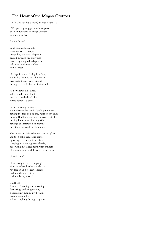# The Heart of the Mogao Grottoes

#### ESF Quarry Bay School, Wong, Angie – 8

O! I open my craggy mouth to speak of an underworld of things unheard, unknown to man–

#### Listen! Listen!

Long long ago, a monk heard me on the slopes: stopped by my oasis of spittle, peered through my stony lips, passed my tongued stalagmites, stalactites, and took shelter in my throat.

He slept in the dark depths of me, and in his sleep he heard, a voice– that could be my own–singing through the dark shapes of his mind.

As I swallowed his sleep, as he rested where I felt my vocal cords should be: curled foetal as a baby.

In the morning he awoke, and unleashed his knife, dazzling my eyes; carving the face of Buddha, right on my chin, carving Buddha's teachings, stroke by stroke, carving his art deep into my skin, carvings of inspiration to provoke the others he would welcome in.

The monk proclaimed me as a sacred place: and the people came and came, tiptoeing over my petrified face, creeping inside my gritted cheeks, decorating my jagged teeth with trinkets, offerings of food and flowers for me to eat.

#### Good! Good!

How lovely to have company! How wonderful to be somebody! My face lit up by their candles: I adored their attention— I adored being adored.

But then! Sounds of crashing and smashing, dust rising, polluting my air, clogging my mouth, my breath, making me choke, voices coughing through my throat.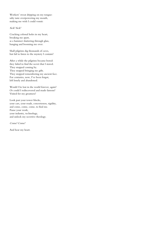Workers' sweat dripping on my tongue: salty taste overpowering my mouth, making me wish I could vomit:

#### Sick! Sick!

Cracking colossal holes in my heart, breaking me apart, as a hammer shattering through glass, banging and booming me over.

Shall pilgrims dig thousands of caves, but fail to listen to the mystery I contain?

After a while the pilgrims became bored: they failed to find the secret that I stored. They stopped coming by. They stopped bringing me gifts. They stopped remembering my ancient face. For centuries, now, I've been forgot, left lonely and abandoned.

Would I be lost in the world forever, again? Or could I rediscovered and made famous? Visited for my greatness?

Look past your tower blocks, your cars, your roads, concreteness, rigidity, and come, come, come, to find me. Pause your work, your industry, technology, and unlock my secretive theology.

Come! Come!

And hear my heart.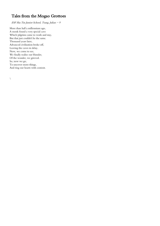# Tales from the Mogao Grottoes

ESF Sha Tin Junior School, Tsang, Julian - 9

More than half a millennium ago, A monk found a very special cave Which pilgrims came to work and stay, But that just couldn't be the same. Thousand years later, Advanced civilization broke off, Leaving the caves in delay. Now, we come to see, We finally realise our blunder, Of the wonder, we grieved. So, now we go, To uncover more things, And ring our hearts with content.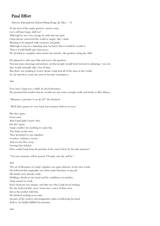## Final Effort

At the foot of the sandy grottoes, stood a man. Let's call him Ganji, shall we? Although he was very young, he only had one goal. Ganji always conceived the world as empty, like a husk. Waiting to be painted with creativity and pride. Although it may be a daunting task, he knew that it would be worth it. That it would finally give him peace. He decided to complete what nature has started- the grottoes along the cliffs.

Harrow International School Hong Kong, Ip,  $Mya - 10$ 

He planned to add some flair and zest to the grottoes. Not just some drawings and stickers, art that people would look forward to admiring- real art; that would normally take a lot of time. But there was nothing to worry about, Ganji had all of the time in the world. So, he started to create his soon to become masterpiece.

#### \*\*\*

Ever since Ganji was a child, he loved literature. He promised his mother that he would one day write enough scrolls and books to fill a library.

"Mommy, I promise I can do it!!" He declared.

"Well that's gonna be very hard, but mommy believes in you."

But she's gone. Gone now. And Ganji didn't know why, but she's gone. Ganji couldn't do anything to undo this. The birds on the wire. They promised to stay together. Carefree, without a worry. And yet she flew away. Leaving him behind. How could Ganji keep his promise if she wasn't there by his side anymore?

"I'm sure mommy will be proud. I'll make sure she will be."

#### \*\*\*

The art of literature in Ganji's opinion was quite delicate, in his own words. He believed that originality was what made literature so special. His hands were already ready. Holding a brush in one hand and his confidence in another, Ganji started to work. Each character was unique, and that was why Ganji loved writing. He also believed that every writer has a voice of their own. Just as his mother told him. He finished writing in no time, because of his creative and imaginative ideas overflowing his head. And so, he finally fulfilled his promise.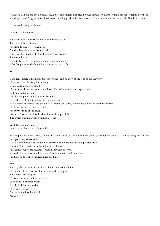Ganji had an eye for art. Especially sculptures and murals. His friend would always say that they had a special something to them and Ganji couldn't agree more. Their never-ending passion for art was one of the many things that kept their friendship going.

"Come on!" Ganji exclaimed

"I'm tired," he replied.

And that's how their friendship quickly turned to dust. The two birds of a feather. His attitude completely changed. Another bird flew away from his wire. And now their pledge of "brotherhood" was broken. Time faded away. Ganji truly felt like he was being dragged into a cage. What happened to the boy who once taught him to fly?

\*\*\*

Ganji remembered the murals that his "friend" and he drew at the side of the alleyways. He yearned for the long lost nostalgia. Being quite artistic by blood, He imagined how the walls would look if he added some creativity to them. So Ganji started painting. It had been quite a while after his last mural, he recalled each step to preparing the pigments. As he dipped the brush into the bowl, he slowly but surely remembered how he drew the murals. His hand obtained a mind of itself. For every stroke of the brush, streams of power and imagination flowed through his body. The world was filled with a million colours.

Well, that took a while. Now we just have the sculptures left.

As he tapped the chisel firmly on the stiff stone, spurts of confidence were gushing through his body as if he was being electrocuted (in a good way of course).

While Ganji carved out the people's expressions, he had made the expressions too.

It was as if he could empathize with the sculptures.

Feel ecstatic when the sculptures were happy and cheerful,

and feel pity and sorrow when the sculptures were sad and miserable.

Just how he felt when his friend had left him.

#### \*\*\*

And so, after decades of hard work, he was ultimately done. He didn't believe it at first, but he was finally complete. The world was complete. His sacrifices were definitely worth it. So as he took his final breath Recalled his last memories He closed his eyes And whispered to the world "Goodbye."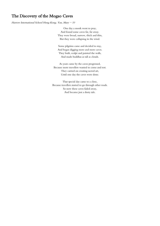#### The Discovery of the Mogao Caves

Harrow International School Hong Kong, Yan, Mary  $-10$ 

One day a monk went to pray, And found some caves far, far away. They were broad, narrow, thick and thin, But they were collapsing in the wind.

Some pilgrims came and decided to stay, And began digging more and more caves. They built, sculpt and painted the walls, And made buddhas as tall as clouds.

As years came by the caves progressed, Because more travellers wanted to come and rest. They carried on creating sacred art, Until one day the caves were done.

That special day came to a close, Because travellers started to go through other roads. So now these caves faded away, And became just a dusty tale.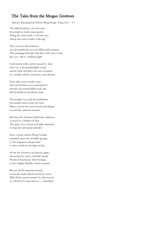# The Tales from the Mogao Grottoes

Harrow International School Hong Kong, Yang, Eva  $-10$ 

The Silk Road has a lot of routes for people to trade many goods. Along the road stands a colossal cave which does not weather with age.

The cavern is old as history and all numbered caves are filled with mystery. The paintings look like that they will come to life but cave 148 is a brilliant sight

It all started with a priest named Le Zun who was a devout Buddhist monk and he built and drew his own creations in a temple which caused awe and elations.

Soon after more monks came and created their own masterpieces; tunnels and tunnels filled with arts, full of mythical and divine parts.

The temple was used for meditation but mostly used to pray for luck. Many crossed the road of peril and danger to seek the rumored treasure.

But then the Grottoes faded into darkness, covered in a blanket of dust. The gates were closed and lights dimmed, to stop the unwanted intruders

Soon a priest named Wang Yuanlu stumbled upon the invisible passage to the forgotten antique land so they could see the light of day.

At last the Grottoes are famous again, untouched by time's invisible hands. Flocks of tourist pay their homage, to the mighty Buddha which remains.

But are all the mysteries found, across the sands which stretch far away? Will all the unseen tunnels be discovered, or will they be kept forever... a shambles?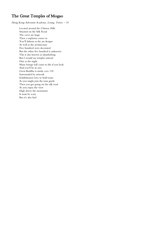## The Great Temples of Mogao

Hong Kong Adventist Academy, Leung, Torres - 10

Located around the Chinese Hills Situated on the Silk Road The caves are huge Then a euphoria comes in You'll fathom at the art designs As well as the architecture Five hundred were decorated But the other five hundred is unknown This is also known as Qianfodong But I would say temples instead Dim as the night Many beings will come to life if you look And you'll be in awe Great Buddha is inside cave 130 Surrounded by artwork Exhibitioners love to hold tours As you might join the tour guide Then you get going on the silk road As you enjoy the view High above the mountains It must be scary But it's also fun!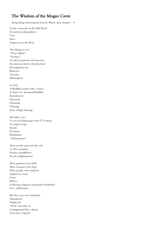## The Wisdom of the Mogao Caves

#### Hong Kong International School, Wenn, Isaac Samuel  $-9$

At the crossroads on the Silk Road A road for trading fabrics Teas Ideas A gateway to the West

The Mogao Caves "None higher" "Peerless" A well of mysteries and treasures An oasis in a barren desolate land An inspiration for Believers Travelers Philosophers

Le Zun

A Buddhist monk with a vision A vision of a thousand Buddhas Incandescent Iridescent Gleaming Glowing Rays of light dancing

He built a cave A cave in Dunhuang in the 4<sup>th</sup> Century To inspire hope Beauty Devotion Meditation "Ohmmmmm"

More monks answered the call A call to meditate Practice mindfulness Reach enlightenment

More grottoes were built More treasures were kept More people were inspired Inspired to create Learn Believe A thriving religious community flourished For a millennium

But the caves were forgotten Abandoned Neglected "Poof" into thin air It disappeared like a dream It became a legend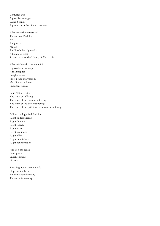Centuries later A guardian emerges Wang Yuanlu A protector of the hidden treasures

What were these treasures? Treasures of Buddhist Art Sculptures Murals Scrolls of scholarly works A library so great So great to rival the Library of Alexandria

What wisdom do they contain? It provides a roadmap A roadmap for Enlightenment Inner peace and wisdom Morality and tolerance Important virtues

Four Noble Truths The truth of suffering The truth of the cause of suffering The truth of the end of suffering The truth of the path that frees us from suffering

Follow the Eightfold Path for Right understanding Right thought Right speech Right action Right livelihood Right effort Right mindfulness Right concentration

And you can reach Inner peace Enlightenment Nirvana

Teachings for a chaotic world Hope for the believer An inspiration for many Treasures for eternity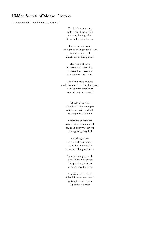#### Hidden Secrets of Mogao Grottoes

International Christian School, Lo,  $Ava = 11$ 

The bright sun was up as if it missed the welkin and was glowing when it reached out the heaven

The desert was warm and light colored, golden brown as wide as a tunnel and always enduring down

> The weeks of travel the weeks of enervation we have finally reached at the famed destination.

The damp walls of caves made from mud, reed to lime paste are filled with detailed art some already been erased

> Murals of hamlets of ancient Chinese temples of tall mountains and hills the opposite of simple

Sculptures of Buddhas some enormous some small found in every vast cavern like a great gallery hall

Into the grottoes means back into history means into new stories means unfolding mysteries

To touch the gray walls is to feel the unjust past is to perceive journeys an experience that lasts

Oh, Mogao Grottoes! Splendid secrets you reveal getting to explore you is positively surreal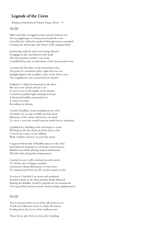## Legends of the Caves

Kingston International School, Fung, Derek  $-9$ 

#### 366 AD

Miles and miles of rugged terrain I passed without rest On my pilgrimage as I advanced towards the west I travelled the wild and wandered through barren wasteland Crossing the desertscape, the Dunes of the Singing Sands

Journeying endlessly and overcoming obstacles Trudging on dry sand littered with skulls Oh what perilous trouble I was in for I trembled from the reverberations of the desert storm's roar

I reached the Precipice of the Immortals at last The peak of a mountain with a sight that was vast Sunlight glinted off crystalline water in the desert oasis The magnificent vista seemed forever timeless

Suddenly I collapsed exhausted on the floor My eyes were closed and yet I saw It came to me in the depths of my dreams I envisioned golden light dazzling in beams A thousand buddhas surrounded me A vision of ecstasy Revealing my destiny

I awoke breathless, heart pounding in my chest Overtaken by an urge to fulfil my holy quest Memories of the vision lashed into my mind To carve a cave that would keep the truth forever enshrined

I grabbed my chiselling tools and began to create Working in the dry desert air from early to late I carved out a space in the cliffside With a hidden entrance to reach the inside

I engraved thousands of Buddha statues in the stone And depicted masterpieces of all that I have known Maidens peacefully playing musical instruments All with calm and gentle temperaments

I painted on raw walls creating heavenly murals To tell the tales of bygone parables I portrayed vibrant illustrations of sutras here To remind myself that my life would contain no fear

As soon as I finished I sat down and meditated Relaxed calmly in the lotus position finally liberated Hoping the Buddha would be grateful for my monument Two legs folded and two hands closed seeking enlightenment

#### 556 AD

The locals passed the secret of the silk down to me You'll need silkworm larvae to make this luxury Feeding them the leaves of the mulberry tree

These larvae spin their cocoons after moulting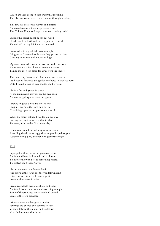Which are then dropped into water that is boiling The filament is extracted from cocoons through brushing

This raw silk is carefully woven and knitted A material so elegant and exquisite is created The Chinese Emperor keeps the secret closely guarded

Sharing this secret might be my last word Condemned to death and never again to be heard Though risking my life I am not deterred

I traveled with my silk fabrication supply Bringing to Constantinople what they yearned to buy Crossing rivers vast and mountains high

My camel was laden with the load as I rode my horse We trotted for miles along an extensive course Taking the precious cargo far away from the source

The menacing desert wind blew and caused a storm I still headed forwards and guided my horse in crooked form Until I found a cave to take shelter and be warm

I built a fire and gasped in shock At the illuminated artwork on the cave rock A secret art gallery that made me gawk

I slowly fingered a Buddha on the wall Clasping my cane that was thin but tall Containing a payload so precious and small

When the storm calmed I headed on my way Leaving the mystical cave without delay To meet Justinian the First here today

Romans surround me as I snap open my cane Revealing the silkworm eggs their empire hoped to gain Ready to bring glory and riches to Justinian's reign

#### 2016

Equipped with my camera I plan to capture Ancient and historical murals and sculpture To inspire the world to do something helpful To protect the Mogao Caves

I board the train to a faraway land And arrive at the caves like the windblown sand I stare horror-struck as I enter a grotto I stare at the cavern in ruins

Precious artefacts that once shone so bright Are faded from sandstorms and scorching sunlight Some of the paintings are cracked and peeled Some of the cave collapsed

I silently enter another grotto on foot Paintings are burned and covered in soot Vandals defaced the murals and sculptures Vandals desecrated this shrine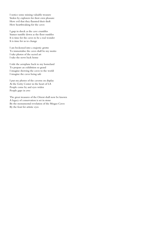I notice some missing valuable treasure Stolen by explorers for their own pleasure How evil that they flaunted their theft How heartbreaking for the caves

I gasp in shock as the cave crumbles Statues tumble down as the floor rumbles It is time for the caves to be a real wonder It is time for us to change

I am beckoned into a majestic grotto To immortalise the caves shall be my motto I take photos of the sacred art I take the news back home

I ride the aeroplane back to my homeland To prepare an exhibition so grand I imagine showing the caves to the world I imagine the caves being safe

I put my photos of the caverns on display At the Getty Center in the heart of LA People come by and eyes widen People gape in awe

The great treasures of the Orient shall now be known A legacy of conservation is set in stone By the monumental revelation of the Mogao Caves By the feast for artistic eyes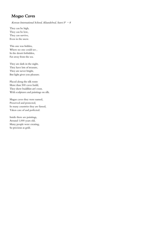## Mogao Caves

#### Korean International School, Khandelwal, Sanvi  $P - 8$

They can be high, They can be low, They can survive, Even in the snow.

This one was hidden, Where no one could see , In the desert forbidden, Far away from the sea.

They are dark in the night, They have lots of treasure, They are never bright, But light gives you pleasure.

Placed along the silk route More than 500 caves build, They show buddhist art's root, With sculptures and paintings on silk.

Magao caves they were named, Preserved and protected, In many countries they are famed, Taken care of and perfected.

Inside there are paintings, Around 1,000 years old, Many people were creating, So precious as gold.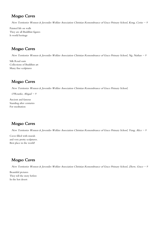# Mogao Caves

New Territories Women & Juveniles Welfare Association Christian Remembrance of Grace Primary School, Kong, Cerise - 9

Painted life on walls They are all Buddhist figures Is world heritage

#### Mogao Caves

New Territories Women & Juveniles Welfare Association Christian Remembrance of Grace Primary School, Ng, Nathan - 9

Silk Road oasis Collections of Buddhist art Many fine sculptures

## Mogao Caves

New Territories Women & Juveniles Welfare Association Christian Remembrance of Grace Primary School,

O'Rourke, Abigail  $-9$ 

Ancient and famous Standing after centuries For meditation

# Mogao Caves

New Territories Women & Juveniles Welfare Association Christian Remembrance of Grace Primary School, Yung, Alice - 9

Caves filled with murals and very pretty sculptures. Best place in the world!

# Mogao Caves

New Territories Women & Juveniles Welfare Association Christian Remembrance of Grace Primary School, Zhow, Grace - 9

Beautiful pictures They tell the story before In the hot desert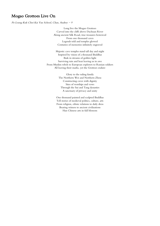#### Mogao Grottoes Live On

Po Leung Kuk Choi Kai Yau School, Chan, Audrey - 9

Long live the Mogao Grottoes Carved into the cliffs above Dachuan River Along ancient Silk Road, true treasures bestowed From one thousand caves Legends told and temples glowed Centuries of memories infinitely engraved

Majestic cave temples stand tall day and night Inspired by vision of a thousand Buddhas Bask in streams of golden light Surviving rain and heat leaving us in awe From Muslim rebels to European explorers to Russian soldiers All leaving their marks, yet the Grottoes endure

> Glory to the ruling family The Northern Wei and Northern Zhou Constructing caves with dignity Sites of worships and vows Through the Sui and Tang dynasties A sanctuary of privacy and unity

One thousand painted and sculpted Buddhas Tell stories of medieval politics, culture, arts From religion, ethnic relations to daily dress Bearing witness to ancient civilizations Han Chinese arts in full blossom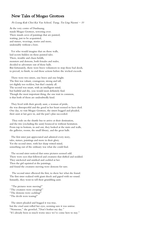#### New Tales of Mogao Grottoes

Po Leung Kuk Choi Kai Yau School, Tsang, Tsz Ling Naomi - 10

At the very centre of Dunhuang, stands Mogao Grottoes, towering over. There stands caves of paintings that are painted, waiting, just to be acquainted, and statues, weavings, stories and more, undeniably without a bore.

 Yet who would imagine that on those walls, laid secrets hidden on those painted tales. There, trouble and chaos befalls, monsters and demons, both females and males, decided to adventure out of those halls. But fortunately, there were brave volunteers to stop those bad deeds, to prevail, to finish, to end those actions before the wicked exceeds.

 There were two sisters, one brave and one bright. The first was valiant, courageous, strong and tall, yet slightly too reckless, but that's mainly all. The second was smart, with an intelligent mind, but bashful and shy, you would most definitely find. Though the most important thing, the one trait in common, is that both of them are undoubtedly kind.

 They lived with their greedy aunt, a woman of pride, she was disrespectful and the good in her heart seemed to have died. One day, to visit Mogao Grottoes, the sisters begged and pleaded, their aunt at last gave in, and the pair's plan succeeded.

 They rode on the shuttle bus to arrive at their destination, and the trio (excluding the aunt) bounced in without hesitation. From top to bottom, in and out, they looked at the stairs and walls, the galleries, rooms, the small library, and the great halls.

 The first sister just appreciated and admired every story, tales, statues, paintings and more in their glory. Yet the second sister, with her sharp witted mind, something out of the ordinary was what she could find.

 The second sister noticed that some pictures seemed odd. There were eyes that followed and creatures that shifted and nodded. They snickered and smirked and cackled at her. Then the girl squinted at the paintings, and found the creatures moving were demons for sure.

 The second sister elbowed the first, to show her what she found. The first sister realized with giant shock and gaped with no sound. Instantly, they went to tell their grumbling aunt.

 "The pictures were moving!" "The creatures were creeping!" "The demons were cackling!"

"The devils were teasing!"

 The sisters pleaded and begged it was true, but the cruel aunt rolled her eyes, seeming sure it was untrue. "Nonsense," she growled ,"Don't bother my day." "It's already been so much worse since we've come here to stay."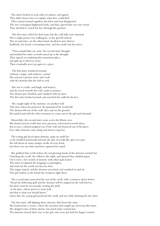The sisters looked at each other in unison, and signed.

They didn't know how to explain what they could find. They turned around together, but their aunt had disappeared. The two exchanged frightened looks, and they agreed that was very weird. They decided to search for her, through the grottoes.

 The first sister yelled for their aunt, but the cold halls were deserted. Not a single person was walking by, so the girl felt alerted. The second sister, on the other hand, decided to just observe. Suddenly, she heard a screaming noise, and she nearly lost her nerve.

 "That sounded like my aunt."the second sister thought, and notified her sister, as both tensed up at the thought. They agreed on exploring this mysterious place, and split up to discover more. Then eventually meet up again in a space.

 The first sister wandered around, without a target, and without a sound. She noticed a picture move and creak, with the demons that she had to seek.

 She saw it cackle, and laugh, and bounce, and she raced towards the wall, ready to pounce. The demon just chortled, and vanished with no trace. The first sister looked around, and searched the walls for his face.

 She caught sight of the monster, on another wall. This time when she pounced, she guaranteed he would fall. The demon fell out of the wall, alive and on the ground. He snarled and told the other monsters to come out to the girl and surround.

 Meanwhile, the second sister came across the library cave. She found ancient scrolls that were precious, and leaned towards them, but at once a demon popped out of the wall and bounced out of his grave. Few other demons came along and tried to stop her.

 The young girl faced upon demons, quite an awful lot as she tumbled backwards and into the pile of scrolls like spice in a pot. She fell down in many unique scrolls of every kind, but there was one that somehow captured her mind.

 She grabbed that scroll, before the red glowing hands of the demons reached her. Clutching the scroll, she rolled to the right, and opened that crinkled paper. On it were a few words of mystery with other parts below. The sister recognized the language as putonghua, and read out the words not fast nor slow. The magic started, and the demons screeched, and vanished in mid air. The girl smiled, as she found the weakness right there.

 The second sister unraveled the rest of the scroll, with a sentence down below: "Read the following spell and the demons will be trapped in the wall forever, but there must be two people reciting the spell, in the place where power is most well, and that is what you should know." Upon this, the young girl pocketed the scroll, and ran while shouting for her sister.

 The first sister, still fighting those demons, fled down the stairs. She backed into a corner, where the monsters had caught up, ferocious like bears. She dodged some of their attacks, but much hope seemed lost. The demons clawed their way to the girl, who now just had her fingers crossed.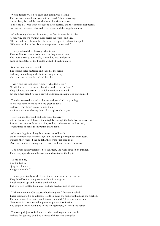When despair was on its edge, and gloom was nearing, The first sister closed her eyes, yet she couldn't hear a roaring. It was silent, for a while then she heard her sister's voice. "E mo zou ba!" was what her second sister recited, and the demons disappeared, Leaving the first sister, shocked yet grateful, and she happily rejoiced.

 After learning what had happened, the first sister smiled in glee. "Then why are we waiting? Let's recite the spell!" said she. The second sister showed her the scroll, and pointed above the spell. "We must read it in the place where power is most well."

 They pondered this, thinking what to do. Then realization struck both sisters, as they slowly knew. The most amazing, admirable, astounding area and place, must be one statue of the buddha with it's beautiful grace.

 But the question was, which? The second sister muttered and stared at the scroll. Suddenly, something at the bottom caught her eye, a black arrow so clear it couldn't be a lie.

 "Ah!" said the first sister,"I know what this is for!" "It will lead us to the correct buddha on the correct floor!" They followed the arrow, to which direction it pointed, but the sisters didn't notice a crowd of demons sneaking out unappointed.

 The duo swerved around sculptures and passed all the paintings, sidetracked cave stories to find the great buddha. Suddenly, they heard noises behind them, and found demons chasing them like burglars after a gem.

 They ran like the wind, still following that arrow, yet the demons still followed them tightly through the halls that were narrow. Some came close to those two girls, so they had to recite the first spell, several times to make them vanish and to repel.

 After running for so long, both were out of breath, and the demons had slowly caught up and were plotting both their death. But alas, they reached the buddha they were supposed to go, Maitreya Buddha, crossing her feet, with such an enormous shadow.

 The sisters quickly scrambled to their feet, and were amazed by this sight. Then, they quickly stood below her and recited in the light.

 "E mo zou ba, Zou hui hua li, Qing bie chu xian, Yong yuan suo bi."

 The magic instantly worked, and the demons vanished in mid air, They faded back to the picture, with a furious glare. A wall opened up, and tourists tumbled out. The two girls spotted their aunt, and her head seemed to spin about.

 "Where were we? Oh yes, stop bothering me!" their aunt yelled. There seemed to be no difference of their aunt, she still grumbled and she smelled. The aunt seemed to notice no difference and didn't know of the demons. "Demons? For goodness sake, please stop your imagination. You stupid halfwits would be in the jail right now, if I ruled the nation!"

 The two girls just looked at each other, and together they smiled. Perhaps this journey could be a secret of the secrets they piled.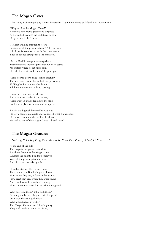# The Mogao Caves

Po Leung Kuk Hong Kong Taoist Association Yuen Yuen Primary School, Lee, Hayson - 11

"Why am I in the Mogao Caves?" A curious boy Alexis gasped and surprised. As he walked towards the sculptures he saw His gaze was locked in awe

He kept walking through the cave Looking at all the paintings from 1700 years ago It had special colours but with the same person. They all looked strange for a lot of reason.

He saw Buddha sculptures everywhere Mesmerized by their magnificence when he stared No matter where he set his foot in He held his breath and couldn't help his grin

Alexis slowed down as he looked carefully Through every room he walked past previously Walking back to the very beginning Till he saw the room with no carving

It was the room with a balcony And a staircase hidden in its journey Alexis went in and rolled down the stairs Landed in a place with hundreds of squares

A dark and big wall blocked his way out He saw a square in a circle and wondered what it was about He pressed on it and the wall broke down He walked out of the Mogao Caves safe and sound

# The Mogao Grottoes

Po Leung Kuk Hong Kong Taoist Association Yuen Yuen Primary School, Li, Renee - 11

At the end of the cliff The magnificent grottoes stand stiff Reaching deep into the Mogao caves Whereas the mighty Buddha's engraved With all the paintings far and wide And characters are side by side

Great big statues filled in the rooms To represent the Buddha's glory bloom How secret they are, hidden in the ground How great they are, when they were found And travel from thousands of years ago How can we not cheer for the pride they grow?

Who engraved them? Who built them? Does anyone believe they are priceless gems? Or maybe there's a god inside Who would never ever die? The Mogao Grottoes are full of mystery They will surely go down in history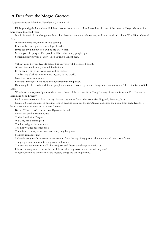#### A Deer from the Mogao Grottoes

#### Regents Primary School of Shenzhen, Li, Zimu - 10

Hi, boys and girls. I am a beautiful deer. I come from heaven. Now I have lived in one of the caves of Mogao Grottoes for more than a thousand years.

My fur is magic. I can change my fur's color. People say my white horns are just like a cloud and call me 'The Nine-Colored Deer.'

When my fur is red, the warmth is coming.

If my fur becomes green, you will get healthy.

If you see my blue fur, you will be the wisest man.

Maybe you like purple. The people will be noble in my purple light.

Sometimes my fur will be gray. Then you'll be a silent man.

Yellow, must be your favorite color. The universe will be covered bright.

When I become brown, you will be decisive.

If you see my silver fur, your love will be forever!

The last, my black fur means more mystery to the world.

Now I am your tour guide.

I will pass through all the caves and dynasties with my power.

Dunhuang has been where different peoples and cultures converge and exchange since ancient times. This is the famous Silk Road.

Woosh! All the Apsaras fly out of their caves. Some of them come from Tang Dynasty. Some are from the Five Dynasties Period and Song Dynasty.

Look, some are coming from the sky! Maybe they come from other countries, England, America, Japan.

Come on! Boys and girls, in one line, let's go dancing with our friends' Apsaras and enjoy the music from each dynasty. I dream these tramp Apsaras can stay here forever!

By the 61<sup>st</sup> cave, we're in the Five Dynasties Period.

Now I am on the Mount Wutai.

Today, I will visit Manjusri.

Wait, my fur is turning red!

The burned grass became alive.

The hot weather becomes cool!

There is no danger, no sadness, no anger, only happiness.

Manjusri is manifesting!

Suddenly many mythical creatures are coming from the sky. They protect the temples and take care of them.

The people communicate friendly with each other.

The ancient people or us, we'll like Manjusri, and dream she always stays with us.

I dream-sharing more tales with you. I dream all of my colorful dreams will be yours!

Mogao Grottoes is a mystery. More mystery things are waiting for you.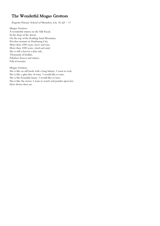# The Wonderful Mogao Grottoes

Regents Primary School of Shenzhen, Lin, Ya  $Qi - 11$ 

Mogao Grottoes A wonderful station on the Silk Road, In the deep of the desert, On the top of the Rattling Sand Mountain, Priceless treasure in Dunhuang City. More than 1000 years, snow and rain, More than 1000 years, wind and sand, She is still a forever a fairy tale, Thousands of buddas, Fabulous frescos and statues, Full of treasure.

Mogao Grottoes

She is like an old book with a long history. I want to read. She is like a glass fine of wine. I would like to taste. She is like beautiful music. I would like to hear. She is like the moon. I want to watch and ponder upon her. How divine thou art.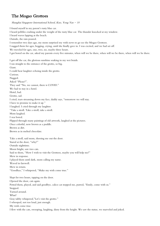# The Mogao Grottoes

Shanghai Singapore International School, Kuo, Yong Yan  $-10$ 

I found myself in my parent's rusty blue car. I heard pebbles crashing under the weight of the rusty blue car. The thunder knocked at my window. I heard waves lapping at the beach. Outside, the rain poured. I remember two days ago, my mom surprised my with news to go see the Mogao Grottoes. I nagged them for ages, begging, crying, until she finally gave in. I was excited, and we had set off. We traveled for ages, one, two, no, maybe three hours. I got bored on the car, asked my parents every five minutes, when will we be there, when will we be there, when will we be there. I got off the car, the glorious sunshine soaking in my wet braids. I ran straight to the entrance of the grotto, so big. Giant. I could hear laughter echoing inside the grotto. Curious. Nagged. Asked "Please?". They said "No, we cannot, there is COVID." We had to stay in a hotel. Hotel, bad. Grotto, sad. I cried, tears streaming down my face, daddy says, "tomorrow we will stay. I have to promise to make it up." I laughed. I cried through my laughter. "Take a stroll. Take a stroll, take a stroll. Mom laughed. I was bored. Flipped through many paintings of old artwork, laughed at the pictures. Once colorful, now brown as a puddle. Brown as dirt. Brown as in melted chocolate. Take a stroll, said mom, shooing me out the door. Stared at the door, "why?"

Outside nighttime. Moon bright, saw two cats. Said to them, "How I wish to visit the Grottoes, maybe you will help me?" Mew in response. I played them until dark, mom calling my name. Waved in farewell. Mew in return. "Goodbye," I whispered, "Make my wish come true."

Slept for two hours, tapping on the door. Opened the door, cats again. Petted them, played, and said goodbye, calico cat stopped me, purred, "Emily, come with us." Stopped. Turned around. What? Gray tabby whispered,"Let's visit the grotto." I whooped, not too loud, just enough. My wish come true. I flew with the cats, swooping, laughing, dizzy from the height. We saw the statue, we marveled and joked.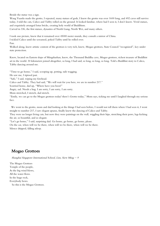Beside the statue was a sign.

Wang Yuanlu made the grotto, I repeated, many statues of gods, I knew the grotto was over 1600 long, and 492 caves still survive today, I told the cats, Calico and Tabby rolled on the ground. It looked familiar, where had I seen it, I don't know. Vivid statues, and exquisitely arranged lotus bricks, creating holy world of Buddhism.

Carved in 336, the first statues, dynasties of North Liang, North Wei, and many others.

I took one picture, knew that it remained over 45000 meter murals, they consult a mirror of China. I tickled Calico until she screamed, poked Tabby until he rolled over.

Fun.

Walked along, knew artistic content of the grottoes is very rich, knew, Mogao grottoes, State Council "recognized", key under state protection.

Knew, located on Eastern slope of Mingshashan, knew, the Thousand Buddha cave, Mogao grottoes, richest treasure of Buddhist art in the world. 30 kilometers joined altogether, so long, I had said, so long, so long, so long. Told a Buddhist story to Calico, Tabby dancing around me.

"Time to go home," I said, scooping up, petting, tails wagging.

He saw me, I tiptoed past.

"Safe," I said, wiping my forehead.

Calico and Tabby. They had said, "We will wait for you here, we are in number 217."

Scurried home, dad up, "Where have you been!"

Angry, sad. Needs a hug. I am sorry, I am sorry, I am sorry.

Mom stretched, I stretch, dad stretch.

"Emily, we can go to the Mogao grottoes today! there's Grotto today," Mom says, ticking me until I laughed through my serious face.

 We went to the grotto, mom and dad looking at the things I had seen before, I would not tell them where I had seen it, I went straight to number 217, I saw elegant apsaras, finally knew the dancing of Calico and Tabby.

They were no longer living cats, but now they were paintings on the wall, wiggling their hips, stretching their paws, legs kicking the air, so beautiful, and so elegant.

"Let's go home," I said, surprising dad. Go home, go home, go home, please.

On the car, when will we be there, when will we be there, when will we be there.

Silence dripped, falling asleep.

#### Mogao Grottoes

Shanghai Singapore International School, Lim, Siew Ming  $-9$ 

The Mogao Grottoes Temple of the people, As the big wind blows, All the water flows. In the huge rock, Everybody bows. So this is the Mogao Grottoes.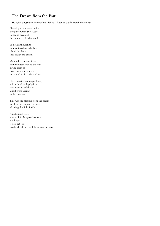# The Dream from the Past

Shanghai Singapore International School, Susanto, Stella Marcheline  $-10$ 

Listening to the desert wind along the Great Silk Road someone dreamed the presence of a thousand

So he led thousands monks, travelers, scholars Hand-in-hand they sculpt the dream

Mountain that was frozen, now is butter to slice and cut giving birth to caves dressed in murals, sutras tucked in their pockets

Gobi desert is no longer lonely, as it is lined with pilgrims who want to celebrate as if it were Spring in their orchard

This was the blessing from the dream for they have opened a door allowing the light inside

A millenium later, you walk in Mogao Grottoes and hope If you get lost maybe the dream will show you the way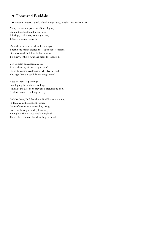# A Thousand Buddahs

Shrewsbury International School Hong Kong, Madan, Akshadha  $-10$ 

Along the ancient path the silk road goes, Stand a thousand buddha grottoes, Paintings, sculptures, so many to see, 492 caves in total there be.

More than one and a half millennia ago, Yuezun the monk created these grottoes to explore, Of a thousand Buddhas, he had a vision, To excavate these caves, he made the decision.

Vast temples carved from rock, At which many visitors stop to gawk, Grand balconies overlooking what lay beyond, The sight like the spell from a magic wand.

A sea of intricate paintings, Enveloping the walls and ceilings, Amongst the bare rock they are a picturesque pop, Realistic statues reaching the top.

Buddhas here, Buddhas there, Buddhas everywhere, Hidden from the sunlight's glare, Gasps of awe from tourists they bring, Laden with bangles and golden rings. To explore these caves would delight all, To see the elaborate Buddhas, big and small.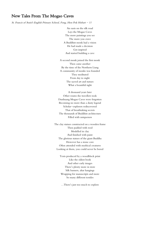#### New Tales From The Mogao Caves

St. Francis of Assisi's English Primary School, Fong, Hon Pok Hobart - 11

An oasis on the silk road Lays the Mogao Caves The more paintings you see The more you crave A Buddhist monk had a vision He had made a decision Got inspired And started building a cave

A second monk joined the first monk Then came another By the time of the Northern Liang A community of monks was founded They meditated From day to night The sacred art and statues What a beautiful sight

A thousand years later Other routes the travellers took Dunhuang Mogao Caves were forgotten Becoming no more than a dusty legend Scholar-explorers rediscovered That of breathtaking secrets The thousands of Buddhist architecture Filled with uniqueness

The clay statues constructed on a wooden frame Then padded with reed Modelled in clay And finished with paint The glorious statues of the giant Buddha However has a stone core Often attended with mythical creatures Looking at them, you could never be bored

> Texts produced by a woodblock print Like the oldest book And other early images There's plenty more in store Silk banners, altar hangings Wrapping for manuscripts and more So many different textiles

…There's just too much to explore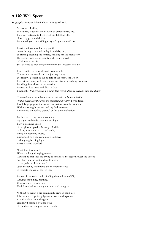## A Life Well Spent

St. Joseph's Primary School, Chan, Him Jonah - 10

My name is LeZun, an ordinary Buddhist monk with an extraordinary life. I feel very satisfied to have lived this fulfilling life, blessed by gods and deities. Let me tell you the thrilling story of my wonderful life.

I started off as a monk in my youth, going through the motion day in and day out, of praying, cleaning the temple, cooking for the monastery. However, I was feeling empty and getting bored of this mundane life. So I decided to seek enlightenment in the Western Paradise.

I travelled for days, weeks and even months. The terrain was rough and the journey lonely, eventually I got lost in the middle of the vast Gobi Desert. I was at the mercy of frosty chilling nights and scorching hot days. Perishing from thirst and exhaustion, I started to lose hope and faith in God. I thought, "Is there really a God in this world, does he actually care about me?"

Then suddenly I stumble upon an oasis with a fountain inside! 'Is this a sign that the gods are preserving my life?' I wondered. I took large gulps of the sweet cool waters from the fountain. With my strength revived and my faith renewed, I journeyed on, feeling grateful of this timely salvation.

Further on, to my utter amazement, my sight was blinded by a radiant light. I saw a beaming vision of the glorious golden Maitreya Buddha, looking at me with a tranquil smile, sitting on heavenly music, surrounded by a thousand more Buddhas bathing in glistening light. It was a sacred wonder!

What does this mean? What are the gods saying to me? Could it be that they are trying to send me a message through the vision? So I knelt on the spot and made a vow to the gods and I set to work upon the sandy mountains and the porous caves to recreate the vision sent to me.

I started hammering and chiselling the sandstone cliffs, Carving, moulding, painting, Constructing and adorning, Until I saw before me my vision carved in a grotto.

Without noticing, a big community grew in this place. It became a refuge for pilgrims, scholars and sojourners. And this place I met the gods gradually became a treasure trove of Buddhist art, sculptures and murals.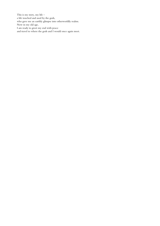This is my story, my life – a life touched and used by the gods, who gave me an earthly glimpse into otherworldly realms. Now in my old age, I am ready to greet my end with peace and travel to where the gods and I would once again meet.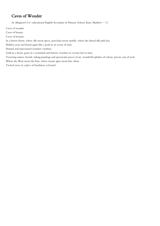## Caves of Wonder

St. Margaret's Co-educational English Secondary & Primary School, Kam, Matthew - 11

Caves of wonder.

Caves of beauty.

Caves of treasure.

In a barren desert, where silk meets spices, porcelain meets marble, where the famed silk path lays.

Hidden away and found again like a pearl in an ocean of sand.

Natural and rejuvenated wonders combine.

Gold in a desert, gems in a wasteland and historic wonders in caverns lost to time.

Towering statues, breath-taking paintings and spectacular pieces of art, wonderful splashes of colour, precise cuts of rock.

Where the West meets the East, where mosaic glass meets fine china.

Tucked away in a place of loneliness, is beauty!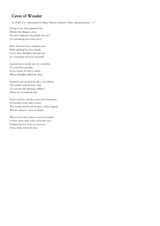## Caves of Wonder

St. Paul's Co-educational College Primary School, Chan, Amelia Joanna - 9

I long to see what splendor lies Within the Mogao caves. Art and sculptures that dazzle the eye? Or something our souls crave?

How did men from centuries past With nothing but bare hands. Carve these Buddhas tall and vast In a mountain of rock and sand?

Legend says a monk was on a mission, To search for paradise. As he rested, he had a vision, Where Buddhas filled the skies.

Inspired and touched by this scene divine, The monk worked non-stop. To recreate this glorious sublime, Alone on a mountain top.

Years went by and the caves were forgotten, As travelers took other routes. The monk and his art became a dusty legend, Whose existence were in doubt.

What secrets lie in these caves of wonder? Is there more than what meets the eye? Perhaps there is more to uncover, Deep, deep under the sky.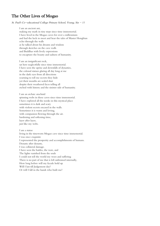## The Other Lives of Mogao

St. Paul's Co-educational College Primary School, Yeung, Sin - 11

I am an ancient ant, making my mark in tiny steps since time immemorial. I have lived in the Mogao caves for over a millennium and had the luck to meet and hear the tales of Master Hongbian echo through the walls as he talked about his dreams and wisdom through sketches on the cave walls and Buddhas with lively expressions to encapture the beauty and sadness of humanity.

I am an insignificant rock, sat here neglectfully since time immemorial. I have seen the uprise and downfalls of dynasties, the colossal statues glaring all day long at me in the dark eyes from all directions yearning to tell me secrets they hide yet their mouths are sealed shut despite their weathered faces telling all etched with history and the sinister side of humanity.

I am an archaic arachnid spinning webs in these caves since time immemorial. I have explored all the nooks in this mystical place sometimes it is dark and scary with violent secrets encased in the walls. Sometimes it is warm and loving, with compassion flowing through the air. hardening and softening time, layer after layer, just like my webs.

I am a statue living in the timeworn Mogao cave since time immemorial. I was once exquisite I represented the prosperity and accomplishments of humans. Dynasty after dynasty, I was collateral damage. I have seen the battles, the wars, and The lights vanished from the souls I could not tell the world my woes and suffering There is no part of me that is left unbruised internally, How long before will my facade hold up Will I last till Judgement day? Or will I fall in the hands who built me?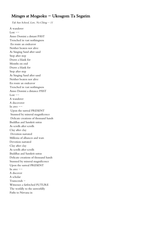#### Mirages at Mogaoku  $-$  Ukoagom Ta Segarim

Tak Sun School, Law, Yu Ching - 11

A wanderer Lost  $--$ Anno Domini a distant PAST Trenched in vast nothingness En route an endeavor Neither beaten nor alive As Singing Sand after sand Step after step Draws a blank for Months on end Draws a blank for Step after step As Singing Sand after sand Neither beaten nor alive En route an endeavor Trenched in vast nothingness Anno Domini a distance PAST  $Lost$   $-$ A wanderer A discoverer In awe  $--$ Upon the surreal PRESENT Stunned by mineral magnificence Delicate creations of thousand hands Buddhas and Sanskrit sutras As scrolls after scrolls Clay after clay Devotion narrated Millenia of alliances and wars Devotion narrated Clay after clay As scrolls after scrolls Buddhas and Sanskrit sutras Delicate creations of thousand hands Stunned by mineral magnificence Upon the surreal PRESENT In awe  $--$ A discover A scholar Transcends - Witnesses a farfetched FUTURE The worldly to the unworldly Paths to Nirvana in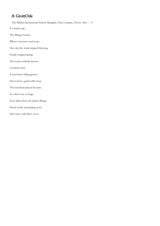# A GrottOde

The British International School Shanghai, Puxi Campus, Davies, Neo - 11

A century ago,

The Mogao Grotto,

Where everyone used to go.

One day the wind stopped blowing,

People stopped going,

The reason nobody knows.

Centuries later,

A merchant selling graters,

Discovered a grotto full of art.

The merchant played his part,

In a discovery so large,

Even aliens from the planet Marge,

Heard of the astounding news,

And came with their crews.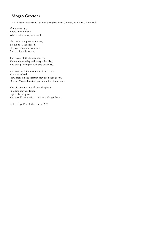## Mogao Grottoes

The British International School Shanghai, Puxi Campus, Lambert, Sienna - 9

Many years ago, There lived a monk, Who lived far away in a bunk.

He created the pictures we see, Yes he does, yes indeed, He inspires me and you too, And to give this to you!

The caves, oh the beautiful caves We see them today and every other day, The cave paintings as well also every day.

You can climb the mountains to see these, Yay, yay indeed, I saw them on the internet they look very pretty, Oh, the Mogao Grottoes you should go there soon.

The pictures are sent all over the place, In China they are found, Especially this place, You should really wish that you could go there.

So bye-bye I'm off there myself!!!!!!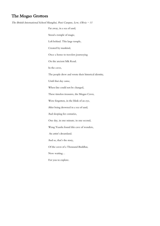## The Mogao Grottoes

The British International School Shanghai, Puxi Campus, Lew, Olivia - 11 Far away, in a sea of sand, Stood a temple of magic, Left behind. This large temple, Created by mankind, Once a home to travelers journeying On the ancient Silk Road. In the caves, The people drew and wrote their historical identity, Until that day came, When fate could not be changed, These timeless treasures, the Mogao Caves, Were forgotten, in the blink of an eye, After being drowned in a sea of sand, And sleeping for centuries, One day, in one minute, in one second, Wang Yuanlu found this cave of wonders, An artist's dreamland. And so, that's the story, Of the caves of a Thousand Buddhas, Now waiting… For you to explore.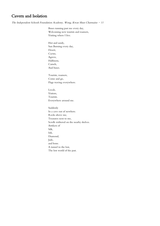## Cavern and Isolation

The Independent Schools Foundation Academy, Wong, Kwan Shun Charmaine  $-11$ 

Buses running past me every day, Welcoming new tourists and roamers, Visiting where I live.

Hot and sandy, Sun Burning every day, Desert, Cactus, Agaves, Halfmens, Camels, And buses.

Tourists, roamers, Come and go, Flags waving everywhere.

Locals, Visitors, Tourists. Everywhere around me.

Suddenly In a cave out of nowhere. Rocks above me, Treasures next to me, Scrolls withered on the nearby shelves. Artifacts of Silk, Ink, Diamond, Jade, and bone. A tunnel to the lost, The lost world of the past.